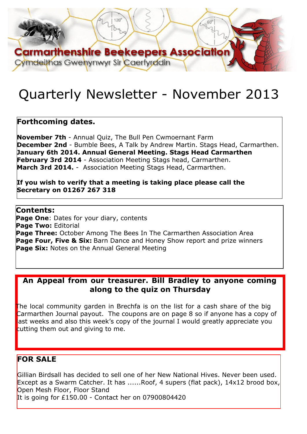

# Quarterly Newsletter - November 2013

### **Forthcoming dates.**

**November 7th** - Annual Quiz, The Bull Pen Cwmoernant Farm **December 2nd** - Bumble Bees, A Talk by Andrew Martin. Stags Head, Carmarthen. **January 6th 2014. Annual General Meeting. Stags Head Carmarthen February 3rd 2014** - Association Meeting Stags head, Carmarthen. **March 3rd 2014.** - Association Meeting Stags Head, Carmarthen.

**If you wish to verify that a meeting is taking place please call the Secretary on 01267 267 318**

**Contents: Page One: Dates for your diary, contents Page Two:** Editorial **Page Three:** October Among The Bees In The Carmarthen Association Area **Page Four, Five & Six:** Barn Dance and Honey Show report and prize winners **Page Six:** Notes on the Annual General Meeting

### **An Appeal from our treasurer. Bill Bradley to anyone coming along to the quiz on Thursday**

The local community garden in Brechfa is on the list for a cash share of the big Carmarthen Journal payout. The coupons are on page 8 so if anyone has a copy of last weeks and also this week's copy of the journal I would greatly appreciate you cutting them out and giving to me.

### **FOR SALE**

Gillian Birdsall has decided to sell one of her New National Hives. Never been used. Except as a Swarm Catcher. It has ......Roof, 4 supers (flat pack), 14x12 brood box, Open Mesh Floor, Floor Stand It is going for £150.00 - Contact her on 07900804420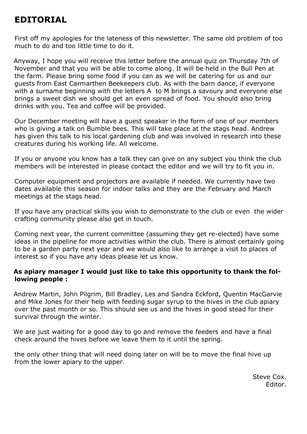# **EDITORIAL**

First off my apologies for the lateness of this newsletter. The same old problem of too much to do and too little time to do it.

Anyway, I hope you will receive this letter before the annual quiz on Thursday 7th of November and that you will be able to come along. It will be held in the Bull Pen at the farm. Please bring some food if you can as we will be catering for us and our guests from East Carmarthen Beekeepers club. As with the barn dance, if everyone with a surname beginning with the letters A to M brings a savoury and everyone else brings a sweet dish we should get an even spread of food. You should also bring drinks with you. Tea and coffee will be provided.

Our December meeting will have a guest speaker in the form of one of our members who is giving a talk on Bumble bees. This will take place at the stags head. Andrew has given this talk to his local gardening club and was involved in research into these creatures during his working life. All welcome.

If you or anyone you know has a talk they can give on any subject you think the club members will be interested in please contact the editor and we will try to fit you in.

Computer equipment and projectors are available if needed. We currently have two dates available this season for indoor talks and they are the February and March meetings at the stags head.

If you have any practical skills you wish to demonstrate to the club or even the wider crafting community please also get in touch.

Coming next year, the current committee (assuming they get re-elected) have some ideas in the pipeline for more activities within the club. There is almost certainly going to be a garden party next year and we would also like to arrange a visit to places of interest so if you have any ideas please let us know.

#### **As apiary manager I would just like to take this opportunity to thank the following people :**

Andrew Martin, John Pilgrim, Bill Bradley, Les and Sandra Eckford, Quentin MacGarvie and Mike Jones for their help with feeding sugar syrup to the hives in the club apiary over the past month or so. This should see us and the hives in good stead for their survival through the winter.

We are just waiting for a good day to go and remove the feeders and have a final check around the hives before we leave them to it until the spring.

the only other thing that will need doing later on will be to move the final hive up from the lower apiary to the upper.

> Steve Cox. Editor.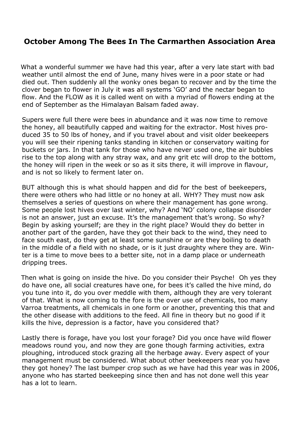### **October Among The Bees In The Carmarthen Association Area**

What a wonderful summer we have had this year, after a very late start with bad weather until almost the end of June, many hives were in a poor state or had died out. Then suddenly all the wonky ones began to recover and by the time the clover began to flower in July it was all systems 'GO' and the nectar began to flow. And the FLOW as it is called went on with a myriad of flowers ending at the end of September as the Himalayan Balsam faded away.

Supers were full there were bees in abundance and it was now time to remove the honey, all beautifully capped and waiting for the extractor. Most hives produced 35 to 50 lbs of honey, and if you travel about and visit older beekeepers you will see their ripening tanks standing in kitchen or conservatory waiting for buckets or jars. In that tank for those who have never used one, the air bubbles rise to the top along with any stray wax, and any grit etc will drop to the bottom, the honey will ripen in the week or so as it sits there, it will improve in flavour, and is not so likely to ferment later on.

BUT although this is what should happen and did for the best of beekeepers, there were others who had little or no honey at all. WHY? They must now ask themselves a series of questions on where their management has gone wrong. Some people lost hives over last winter, why? And 'NO' colony collapse disorder is not an answer, just an excuse. It's the management that's wrong. So why? Begin by asking yourself; are they in the right place? Would they do better in another part of the garden, have they got their back to the wind, they need to face south east, do they get at least some sunshine or are they boiling to death in the middle of a field with no shade, or is it just draughty where they are. Winter is a time to move bees to a better site, not in a damp place or underneath dripping trees.

Then what is going on inside the hive. Do you consider their Psyche! Oh yes they do have one, all social creatures have one, for bees it's called the hive mind, do you tune into it, do you over meddle with them, although they are very tolerant of that. What is now coming to the fore is the over use of chemicals, too many Varroa treatments, all chemicals in one form or another, preventing this that and the other disease with additions to the feed. All fine in theory but no good if it kills the hive, depression is a factor, have you considered that?

Lastly there is forage, have you lost your forage? Did you once have wild flower meadows round you, and now they are gone though farming activities, extra ploughing, introduced stock grazing all the herbage away. Every aspect of your management must be considered. What about other beekeepers near you have they got honey? The last bumper crop such as we have had this year was in 2006, anyone who has started beekeeping since then and has not done well this year has a lot to learn.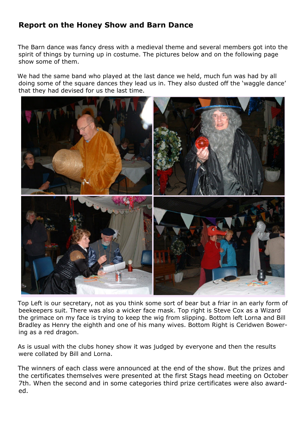### **Report on the Honey Show and Barn Dance**

The Barn dance was fancy dress with a medieval theme and several members got into the spirit of things by turning up in costume. The pictures below and on the following page show some of them.

We had the same band who played at the last dance we held, much fun was had by all doing some of the square dances they lead us in. They also dusted off the 'waggle dance' that they had devised for us the last time.



Top Left is our secretary, not as you think some sort of bear but a friar in an early form of beekeepers suit. There was also a wicker face mask. Top right is Steve Cox as a Wizard the grimace on my face is trying to keep the wig from slipping. Bottom left Lorna and Bill Bradley as Henry the eighth and one of his many wives. Bottom Right is Ceridwen Bowering as a red dragon.

As is usual with the clubs honey show it was judged by everyone and then the results were collated by Bill and Lorna.

The winners of each class were announced at the end of the show. But the prizes and the certificates themselves were presented at the first Stags head meeting on October 7th. When the second and in some categories third prize certificates were also awarded.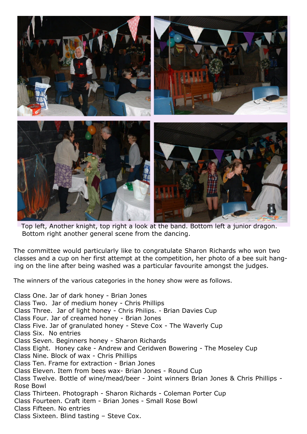

Top left, Another knight, top right a look at the band. Bottom left a junior dragon. Bottom right another general scene from the dancing.

The committee would particularly like to congratulate Sharon Richards who won two classes and a cup on her first attempt at the competition, her photo of a bee suit hanging on the line after being washed was a particular favourite amongst the judges.

The winners of the various categories in the honey show were as follows.

Class One. Jar of dark honey - Brian Jones Class Two. Jar of medium honey - Chris Phillips Class Three. Jar of light honey - Chris Philips. - Brian Davies Cup Class Four. Jar of creamed honey - Brian Jones Class Five. Jar of granulated honey - Steve Cox - The Waverly Cup Class Six. No entries Class Seven. Beginners honey - Sharon Richards Class Eight. Honey cake - Andrew and Ceridwen Bowering - The Moseley Cup Class Nine. Block of wax - Chris Phillips Class Ten. Frame for extraction - Brian Jones Class Eleven. Item from bees wax- Brian Jones - Round Cup Class Twelve. Bottle of wine/mead/beer - Joint winners Brian Jones & Chris Phillips - Rose Bowl Class Thirteen. Photograph - Sharon Richards - Coleman Porter Cup Class Fourteen. Craft item - Brian Jones - Small Rose Bowl Class Fifteen. No entries Class Sixteen. Blind tasting – Steve Cox.